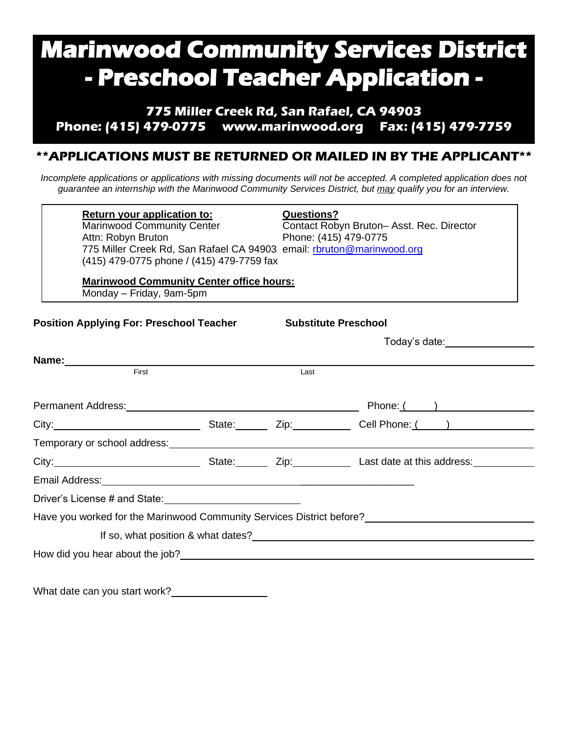# **Marinwood Community Services District - Preschool Teacher Application -**

**775 Miller Creek Rd, San Rafael, CA 94903 Phone: (415) 479-0775 [www.marinwood.org](http://www.marinwood.org/) Fax: (415) 479-7759**

## **\*\*APPLICATIONS MUST BE RETURNED OR MAILED IN BY THE APPLICANT\*\***

*Incomplete applications or applications with missing documents will not be accepted. A completed application does not guarantee an internship with the Marinwood Community Services District, but may qualify you for an interview.*

| <b>Return your application to:</b><br><b>Marinwood Community Center</b><br>Attn: Robyn Bruton<br>775 Miller Creek Rd, San Rafael CA 94903 email: rbruton@marinwood.org<br>(415) 479-0775 phone / (415) 479-7759 fax            | <b>Questions?</b><br>Phone: (415) 479-0775 | Contact Robyn Bruton-Asst. Rec. Director                                                                                                                                                                                                                     |
|--------------------------------------------------------------------------------------------------------------------------------------------------------------------------------------------------------------------------------|--------------------------------------------|--------------------------------------------------------------------------------------------------------------------------------------------------------------------------------------------------------------------------------------------------------------|
| <b>Marinwood Community Center office hours:</b><br>Monday – Friday, 9am-5pm                                                                                                                                                    |                                            |                                                                                                                                                                                                                                                              |
| <b>Position Applying For: Preschool Teacher</b>                                                                                                                                                                                | <b>Substitute Preschool</b>                |                                                                                                                                                                                                                                                              |
|                                                                                                                                                                                                                                |                                            |                                                                                                                                                                                                                                                              |
|                                                                                                                                                                                                                                |                                            |                                                                                                                                                                                                                                                              |
| First                                                                                                                                                                                                                          | Last                                       |                                                                                                                                                                                                                                                              |
| Permanent Address: No. 1996. The Contract of the Contract of the Contract of the Contract of the Contract of the Contract of the Contract of the Contract of the Contract of the Contract of the Contract of the Contract of t |                                            | $Phone: ($ and $)$ and $()$ and $()$ and $()$ and $()$ and $()$ and $()$ and $()$ and $()$ and $()$ and $()$ and $()$ and $()$ and $()$ and $()$ and $()$ and $()$ and $()$ and $()$ and $()$ and $()$ and $()$ and $()$ and $()$ and $()$ and $()$ and $()$ |
|                                                                                                                                                                                                                                |                                            | City: City: City: City: Cuban Contact City: Cell Phone: (and Contact City: Cell Phone: (and Contact City: Cell Phone: Contact City: Contact City: Contact City: Contact City: Contact City: Contact City: Contact City: Contac                               |
|                                                                                                                                                                                                                                |                                            |                                                                                                                                                                                                                                                              |
|                                                                                                                                                                                                                                |                                            | City: City: City: City: City: City: City: City: City: City: City: City: City: City: City: City: City: City: City: City: City: City: City: City: City: City: City: City: City: City: City: City: City: City: City: City: City:                                |
| Email Address: No. 1996. The Contract of the Contract of the Contract of the Contract of the Contract of the Contract of the Contract of the Contract of the Contract of the Contract of the Contract of the Contract of the C |                                            |                                                                                                                                                                                                                                                              |
|                                                                                                                                                                                                                                |                                            |                                                                                                                                                                                                                                                              |

Have you worked for the Marinwood Community Services District before?

If so, what position & what dates?

How did you hear about the job?

What date can you start work?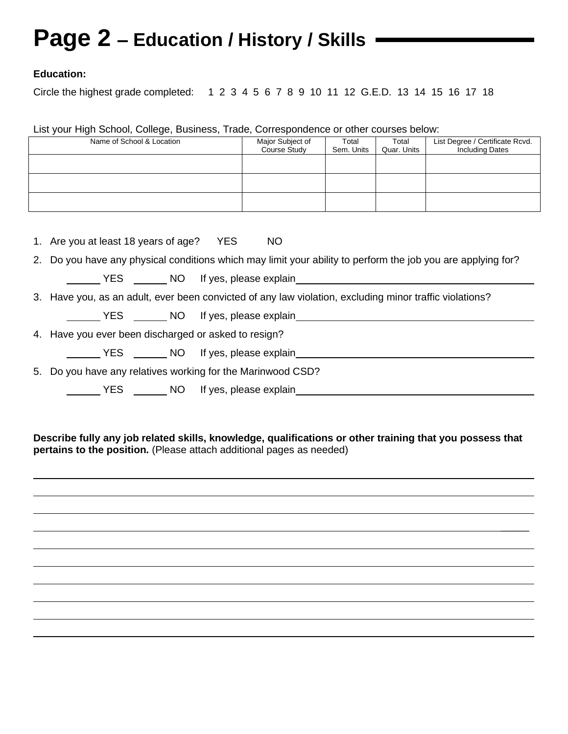## **Page 2 – Education / History / Skills**

#### **Education:**

Circle the highest grade completed: 1 2 3 4 5 6 7 8 9 10 11 12 G.E.D. 13 14 15 16 17 18

List your High School, College, Business, Trade, Correspondence or other courses below:

| Name of School & Location                                                                                    | Major Subject of<br>Course Study                   | Total<br>Sem. Units | Total<br>Quar. Units | List Degree / Certificate Rcvd.<br>Including Dates |
|--------------------------------------------------------------------------------------------------------------|----------------------------------------------------|---------------------|----------------------|----------------------------------------------------|
|                                                                                                              |                                                    |                     |                      |                                                    |
|                                                                                                              |                                                    |                     |                      |                                                    |
|                                                                                                              |                                                    |                     |                      |                                                    |
|                                                                                                              |                                                    |                     |                      |                                                    |
| 1. Are you at least 18 years of age? YES                                                                     | NO                                                 |                     |                      |                                                    |
| 2. Do you have any physical conditions which may limit your ability to perform the job you are applying for? |                                                    |                     |                      |                                                    |
|                                                                                                              |                                                    |                     |                      |                                                    |
| 3. Have you, as an adult, ever been convicted of any law violation, excluding minor traffic violations?      |                                                    |                     |                      |                                                    |
|                                                                                                              |                                                    |                     |                      |                                                    |
| 4. Have you ever been discharged or asked to resign?                                                         |                                                    |                     |                      |                                                    |
|                                                                                                              |                                                    |                     |                      |                                                    |
| 5. Do you have any relatives working for the Marinwood CSD?                                                  |                                                    |                     |                      |                                                    |
|                                                                                                              | ___ YES _______ NO lf yes, please explain_________ |                     |                      |                                                    |

**Describe fully any job related skills, knowledge, qualifications or other training that you possess that pertains to the position.** (Please attach additional pages as needed)

 $\mathcal{L}$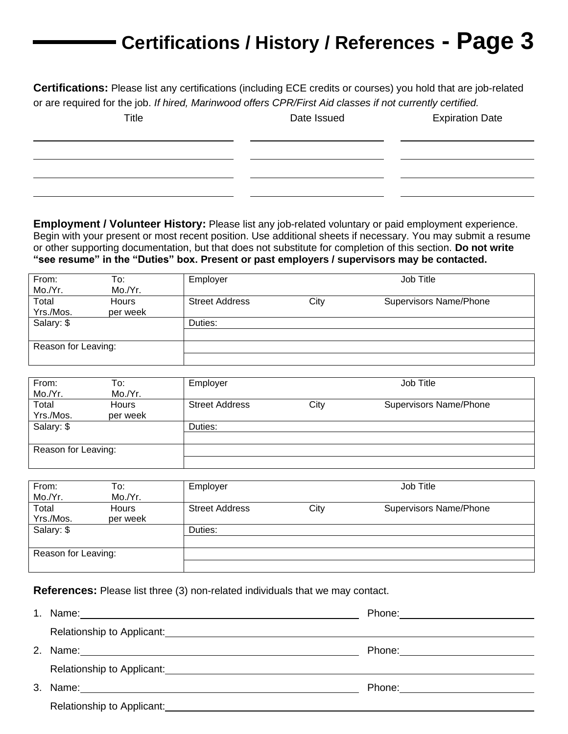## **Certifications / History / References - Page 3**

**Certifications:** Please list any certifications (including ECE credits or courses) you hold that are job-related or are required for the job. *If hired, Marinwood offers CPR/First Aid classes if not currently certified.* 

Title **Title** Date Issued Expiration Date

**Employment / Volunteer History:** Please list any job-related voluntary or paid employment experience. Begin with your present or most recent position. Use additional sheets if necessary. You may submit a resume or other supporting documentation, but that does not substitute for completion of this section. **Do not write "see resume" in the "Duties" box. Present or past employers / supervisors may be contacted.**

| From:               | To:          | Employer              |      | Job Title                     |
|---------------------|--------------|-----------------------|------|-------------------------------|
| Mo./Yr.             | Mo./Yr.      |                       |      |                               |
| Total               | <b>Hours</b> | <b>Street Address</b> | City | <b>Supervisors Name/Phone</b> |
| Yrs./Mos.           | per week     |                       |      |                               |
| Salary: \$          |              | Duties:               |      |                               |
|                     |              |                       |      |                               |
| Reason for Leaving: |              |                       |      |                               |
|                     |              |                       |      |                               |

| From:<br>Mo./Yr.    | To:<br>Mo./Yr.           | Employer              |      | Job Title                     |
|---------------------|--------------------------|-----------------------|------|-------------------------------|
| Total<br>Yrs./Mos.  | <b>Hours</b><br>per week | <b>Street Address</b> | City | <b>Supervisors Name/Phone</b> |
| Salary: \$          |                          | Duties:               |      |                               |
| Reason for Leaving: |                          |                       |      |                               |

| From:<br>Mo./Yr.    | To:<br>Mo./Yr.           | Employer              |      | Job Title                     |
|---------------------|--------------------------|-----------------------|------|-------------------------------|
| Total<br>Yrs./Mos.  | <b>Hours</b><br>per week | <b>Street Address</b> | City | <b>Supervisors Name/Phone</b> |
| Salary: \$          |                          | Duties:               |      |                               |
| Reason for Leaving: |                          |                       |      |                               |
|                     |                          |                       |      |                               |

**References:** Please list three (3) non-related individuals that we may contact.

| 2. |                            | Phone: ________________________ |
|----|----------------------------|---------------------------------|
|    |                            |                                 |
| 3. |                            | Phone: _____________________    |
|    | Relationship to Applicant: |                                 |